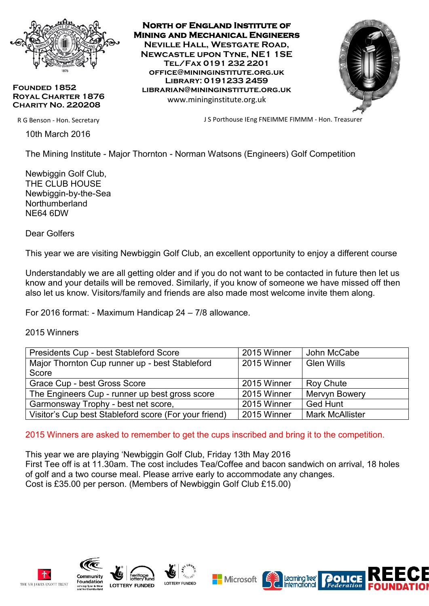

**Founded 1852 Royal Charter 1876 Charity No. 220208**

R G Benson - Hon. Secretary

10th March 2016

**North of England Institute of Mining and Mechanical Engineers Neville Hall, Westgate Road, Newcastle upon Tyne, NE1 1SE Tel/Fax 0191 232 2201 office@mininginstitute.org.uk Library: 0191233 2459 librarian@mininginstitute.org.uk** www.mininginstitute.org.uk



J S Porthouse IEng FNEIMME FIMMM - Hon. Treasurer

The Mining Institute - Major Thornton - Norman Watsons (Engineers) Golf Competition

Newbiggin Golf Club, THE CLUB HOUSE Newbiggin-by-the-Sea **Northumberland** NE64 6DW

Dear Golfers

This year we are visiting Newbiggin Golf Club, an excellent opportunity to enjoy a different course

Understandably we are all getting older and if you do not want to be contacted in future then let us know and your details will be removed. Similarly, if you know of someone we have missed off then also let us know. Visitors/family and friends are also made most welcome invite them along.

For 2016 format: - Maximum Handicap 24 – 7/8 allowance.

2015 Winners

| Presidents Cup - best Stableford Score                | 2015 Winner | John McCabe            |
|-------------------------------------------------------|-------------|------------------------|
| Major Thornton Cup runner up - best Stableford        | 2015 Winner | <b>Glen Wills</b>      |
| Score                                                 |             |                        |
| Grace Cup - best Gross Score                          | 2015 Winner | <b>Roy Chute</b>       |
| The Engineers Cup - runner up best gross score        | 2015 Winner | Mervyn Bowery          |
| Garmonsway Trophy - best net score,                   | 2015 Winner | <b>Ged Hunt</b>        |
| Visitor's Cup best Stableford score (For your friend) | 2015 Winner | <b>Mark McAllister</b> |

2015 Winners are asked to remember to get the cups inscribed and bring it to the competition.

This year we are playing 'Newbiggin Golf Club, Friday 13th May 2016 First Tee off is at 11.30am. The cost includes Tea/Coffee and bacon sandwich on arrival, 18 holes of golf and a two course meal. Please arrive early to accommodate any changes. Cost is £35.00 per person. (Members of Newbiggin Golf Club £15.00)